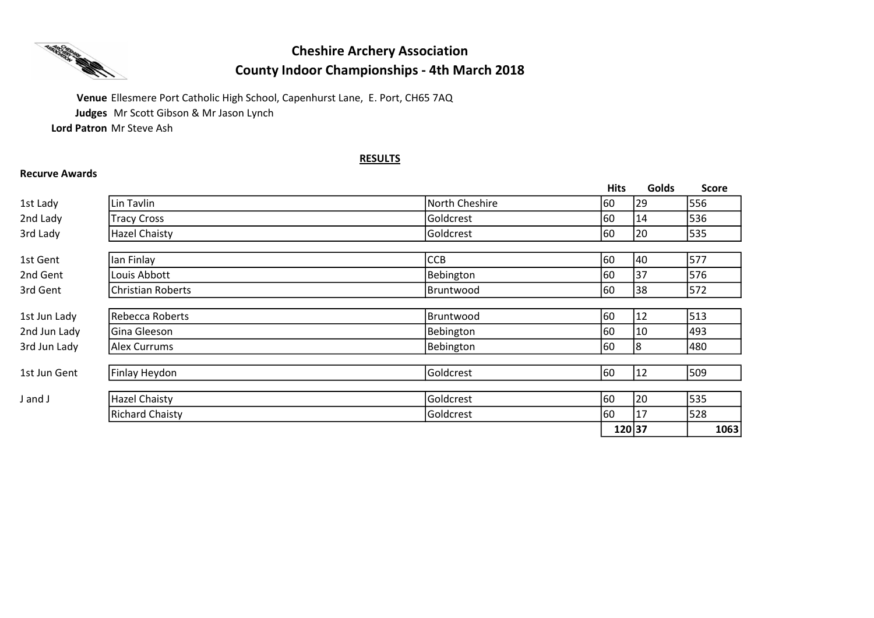

Recurve Awards

# Cheshire Archery Association County Indoor Championships - 4th March 2018

Venue Ellesmere Port Catholic High School, Capenhurst Lane, E. Port, CH65 7AQ Judges Mr Scott Gibson & Mr Jason Lynch Lord Patron Mr Steve Ash

# RESULTS

|              |                          |                | <b>Hits</b> | Golds | <b>Score</b> |
|--------------|--------------------------|----------------|-------------|-------|--------------|
| 1st Lady     | Lin Tavlin               | North Cheshire | 60          | 29    | 556          |
| 2nd Lady     | <b>Tracy Cross</b>       | Goldcrest      | 60          | 14    | 536          |
| 3rd Lady     | <b>Hazel Chaisty</b>     | Goldcrest      | 60          | 20    | 535          |
| 1st Gent     | lan Finlay               | <b>CCB</b>     | 60          | 40    | 577          |
| 2nd Gent     | Louis Abbott             | Bebington      | 60          | 37    | 576          |
| 3rd Gent     | <b>Christian Roberts</b> | Bruntwood      | 60          | 38    | 572          |
| 1st Jun Lady | Rebecca Roberts          | Bruntwood      | 60          | 12    | 513          |
| 2nd Jun Lady | Gina Gleeson             | Bebington      | 60          | 10    | 493          |
| 3rd Jun Lady | <b>Alex Currums</b>      | Bebington      | 60          | 8     | 480          |
| 1st Jun Gent | Finlay Heydon            | Goldcrest      | 60          | 12    | 509          |
| J and J      | <b>Hazel Chaisty</b>     | Goldcrest      | 60          | 20    | 535          |
|              | <b>Richard Chaisty</b>   | Goldcrest      | 60          | 17    | 528          |
|              |                          |                | 120 37      |       | 1063         |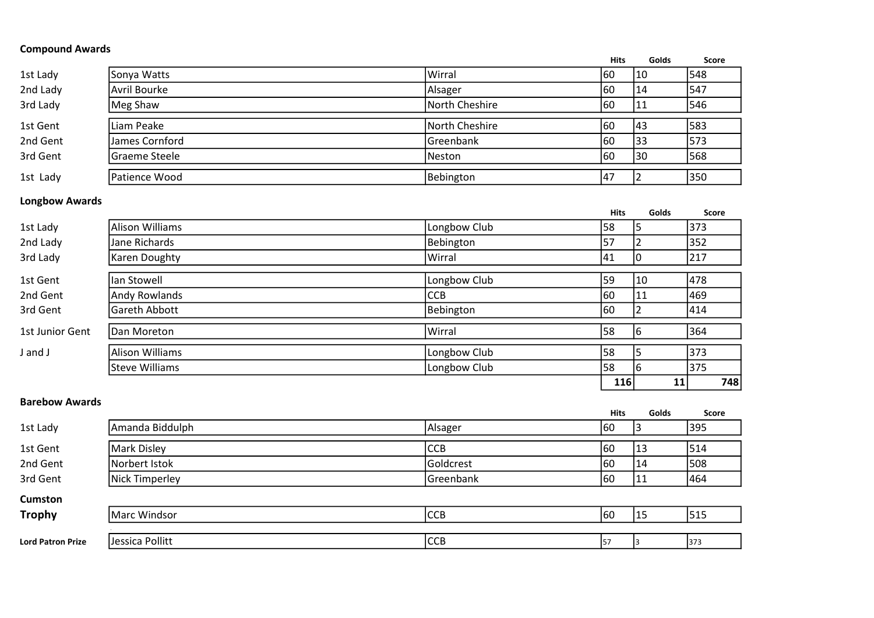| <b>Compound Awards</b> |                |                |             |       |       |
|------------------------|----------------|----------------|-------------|-------|-------|
|                        |                |                | <b>Hits</b> | Golds | Score |
| 1st Lady               | Sonya Watts    | Wirral         | 160         | 10    | 548   |
| 2nd Lady               | Avril Bourke   | Alsager        | 160         | 14    | 547   |
| 3rd Lady               | Meg Shaw       | North Cheshire | 60          | 11    | 546   |
| 1st Gent               | Liam Peake     | North Cheshire | 160         | 43    | 583   |
| 2nd Gent               | James Cornford | Greenbank      | 60          | 33    | 573   |
| 3rd Gent               | Graeme Steele  | Neston         | 60          | 30    | 568   |
| 1st Lady               | Patience Wood  | Bebington      | <b>47</b>   |       | 350   |

# Longbow Awards

|                 |                       |              | <b>Hits</b> | Golds | <b>Score</b> |
|-----------------|-----------------------|--------------|-------------|-------|--------------|
| 1st Lady        | Alison Williams       | Longbow Club | 58          |       | 373          |
| 2nd Lady        | Jane Richards         | Bebington    | 57          |       | 352          |
| 3rd Lady        | Karen Doughty         | Wirral       | 41          | Ψ     | 217          |
| 1st Gent        | Ian Stowell           | Longbow Club | 59          | 10    | 478          |
| 2nd Gent        | Andy Rowlands         | <b>CCB</b>   | 160         | 11    | 469          |
| 3rd Gent        | Gareth Abbott         | Bebington    | 160         |       | 414          |
| 1st Junior Gent | Dan Moreton           | Wirral       | 58          | 16    | 364          |
| J and J         | Alison Williams       | Longbow Club | 58          |       | 373          |
|                 | <b>Steve Williams</b> | Longbow Club | 58          |       | 375          |
|                 |                       |              | 116         | 11    | 748          |

| <b>Barebow Awards</b>    |                 |            |             |       |              |
|--------------------------|-----------------|------------|-------------|-------|--------------|
|                          |                 |            | <b>Hits</b> | Golds | <b>Score</b> |
| 1st Lady                 | Amanda Biddulph | Alsager    | 160         |       | 395          |
| 1st Gent                 | Mark Disley     | <b>CCB</b> | 160         | 13    | 514          |
| 2nd Gent                 | Norbert Istok   | Goldcrest  | 60          | 14    | 508          |
| 3rd Gent                 | Nick Timperley  | Greenbank  | 60          | 11    | 464          |
| <b>Cumston</b>           |                 |            |             |       |              |
| <b>Trophy</b>            | Marc Windsor    | <b>CCB</b> | 160         | 15    | 515          |
|                          |                 |            |             |       |              |
| <b>Lord Patron Prize</b> | Jessica Pollitt | <b>CCB</b> | 57          |       | 373          |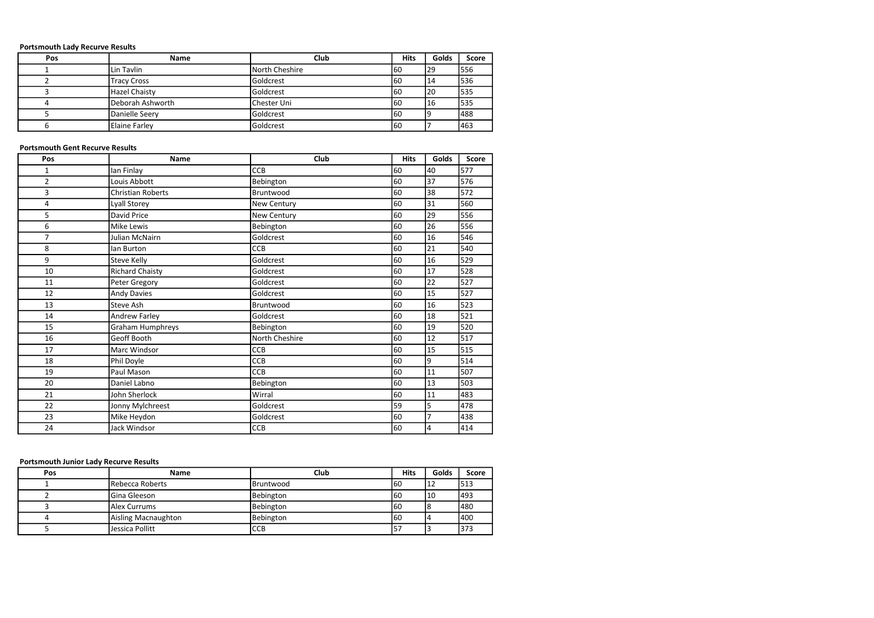### Portsmouth Lady Recurve Results

| Pos | Name                 | Club           | <b>Hits</b> | Golds | Score |
|-----|----------------------|----------------|-------------|-------|-------|
|     | Lin Tavlin           | North Cheshire | 60          | 29    | 556   |
|     | <b>Tracy Cross</b>   | Goldcrest      | 60          | 14    | 536   |
|     | Hazel Chaisty        | Goldcrest      | 60          | 20    | 1535  |
| 4   | l Deborah Ashworth   | Chester Uni    | 60          | '16   | 1535  |
|     | Danielle Seerv       | Goldcrest      | 160         |       | 488   |
| ь   | <b>Elaine Farley</b> | Goldcrest      | 160         |       | 463   |

#### Portsmouth Gent Recurve Results

| Pos | Name                     | Club           | <b>Hits</b> | Golds          | <b>Score</b> |
|-----|--------------------------|----------------|-------------|----------------|--------------|
| 1   | lan Finlay               | CCB            | 60          | 40             | 577          |
| 2   | Louis Abbott             | Bebington      | 60          | 37             | 576          |
| 3   | <b>Christian Roberts</b> | Bruntwood      | 60          | 38             | 572          |
| 4   | Lyall Storey             | New Century    | 60          | 31             | 560          |
| 5   | David Price              | New Century    | 60          | 29             | 556          |
| 6   | Mike Lewis               | Bebington      | 60          | 26             | 556          |
| 7   | <b>Julian McNairn</b>    | Goldcrest      | 60          | 16             | 546          |
| 8   | lan Burton               | CCB            | 60          | 21             | 540          |
| 9   | <b>Steve Kelly</b>       | Goldcrest      | 60          | 16             | 529          |
| 10  | <b>Richard Chaisty</b>   | Goldcrest      | 60          | 17             | 528          |
| 11  | Peter Gregory            | Goldcrest      | 60          | 22             | 527          |
| 12  | <b>Andy Davies</b>       | Goldcrest      | 60          | 15             | 527          |
| 13  | <b>Steve Ash</b>         | Bruntwood      | 60          | 16             | 523          |
| 14  | Andrew Farley            | Goldcrest      | 60          | 18             | 521          |
| 15  | <b>Graham Humphreys</b>  | Bebington      | 60          | 19             | 520          |
| 16  | Geoff Booth              | North Cheshire | 60          | 12             | 517          |
| 17  | Marc Windsor             | CCB            | 60          | 15             | 515          |
| 18  | Phil Doyle               | CCB            | 60          | 9              | 514          |
| 19  | Paul Mason               | CCB            | 60          | 11             | 507          |
| 20  | Daniel Labno             | Bebington      | 60          | 13             | 503          |
| 21  | John Sherlock            | Wirral         | 60          | 11             | 483          |
| 22  | Jonny Mylchreest         | Goldcrest      | 59          | 5              | 478          |
| 23  | Mike Heydon              | Goldcrest      | 60          | $\overline{ }$ | 438          |
| 24  | Jack Windsor             | CCB            | 60          | 4              | 414          |

### Portsmouth Junior Lady Recurve Results

| Pos | Name                | Club             | <b>Hits</b> | Golds | Score |
|-----|---------------------|------------------|-------------|-------|-------|
|     | Rebecca Roberts     | <b>Bruntwood</b> | 160         | ᄔ     | 513   |
|     | lGina Gleeson       | Bebington        | 160         | 110   | 493   |
|     | Alex Currums        | Bebington        | 160         |       | 480   |
|     | Aisling Macnaughton | Bebington        | 160         | 14    | 400   |
|     | Jessica Pollitt     | <b>CCB</b>       | i57         |       | 373   |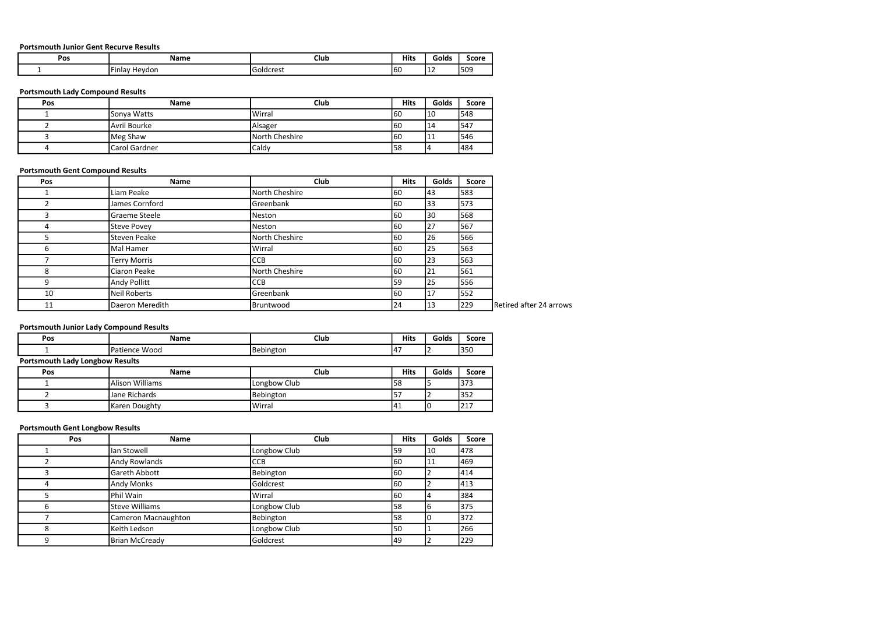### Portsmouth Junior Gent Recurve Results

| Pos | Name                     | Clut      | <b>Hits</b> | Golds | Score |
|-----|--------------------------|-----------|-------------|-------|-------|
|     | .<br>' Hevdon<br>'Finlav | Goldcrest | 160         | .     | 509   |

### Portsmouth Lady Compound Results

| Pos            | Name          | Club           | <b>Hits</b> | Golds | Score      |
|----------------|---------------|----------------|-------------|-------|------------|
|                | ISonva Watts  | Wirral         | 160         | 10    | 548        |
|                | Avril Bourke  | Alsager        | 160         | 14    | 547        |
|                | Meg Shaw      | North Cheshire | 160         | 11    | <b>546</b> |
| $\overline{a}$ | Carol Gardner | Caldy          | 158         |       | 484        |

#### Portsmouth Gent Compound Results

| Pos | Name                | Club           | <b>Hits</b> | Golds | Score |                         |
|-----|---------------------|----------------|-------------|-------|-------|-------------------------|
|     | Liam Peake          | North Cheshire | 160         | 43    | 583   |                         |
|     | James Cornford      | Greenbank      | 60          | 133   | 573   |                         |
|     | Graeme Steele       | Neston         | 60          | 130   | 568   |                         |
| 4   | <b>Steve Povey</b>  | <b>Neston</b>  | 160         | 127   | 567   |                         |
|     | Steven Peake        | North Cheshire | 160         | 26    | 566   |                         |
| ь   | Mal Hamer           | Wirral         | 60          | 25    | 563   |                         |
|     | <b>Terry Morris</b> | <b>CCB</b>     | 60          | 23    | 563   |                         |
| Λ   | Ciaron Peake        | North Cheshire | 60          | 21    | 561   |                         |
| 9   | <b>Andy Pollitt</b> | <b>CCB</b>     | 59          | 25    | 556   |                         |
| 10  | Neil Roberts        | Greenbank      | 60          | 117   | 552   |                         |
| 11  | Daeron Meredith     | Bruntwood      | 24          | 13    | 229   | Retired after 24 arrows |

### Portsmouth Junior Lady Compound Results

| Pos                                    | Name                 | Club      | <b>Hits</b> | Golds | Score |
|----------------------------------------|----------------------|-----------|-------------|-------|-------|
|                                        | <b>Patience Wood</b> | Bebington | ıд          |       | 35C   |
| <b>Portsmouth Lady Longbow Results</b> |                      |           |             |       |       |

| .<br>__ |                 |              |             |       |       |  |  |
|---------|-----------------|--------------|-------------|-------|-------|--|--|
| Pos     | Name            | Club         | <b>Hits</b> | Golds | Score |  |  |
|         | Alison Williams | Longbow Club | 158         |       | 1373  |  |  |
|         | Jane Richards   | Bebington    | . כו        |       | 352   |  |  |
|         | Karen Doughty   | Wirral       | 141         |       | 217   |  |  |

### Portsmouth Gent Longbow Results

| Pos | Name                  | Club         | <b>Hits</b> | Golds | <b>Score</b> |
|-----|-----------------------|--------------|-------------|-------|--------------|
|     | lan Stowell           | Longbow Club | <b>159</b>  | 110   | 478          |
|     | <b>Andy Rowlands</b>  | <b>CCB</b>   | 160         | 11    | 469          |
|     | <b>Gareth Abbott</b>  | Bebington    | 160         |       | 414          |
|     | <b>Andy Monks</b>     | Goldcrest    | 60          |       | 1413         |
|     | Phil Wain             | Wirral       | 60          |       | 384          |
| հ   | <b>Steve Williams</b> | Longbow Club | 58          |       | 375          |
|     | Cameron Macnaughton   | Bebington    | 158         |       | 372          |
|     | Keith Ledson          | Longbow Club | 150         |       | 266          |
|     | <b>Brian McCready</b> | Goldcrest    | 49          |       | 229          |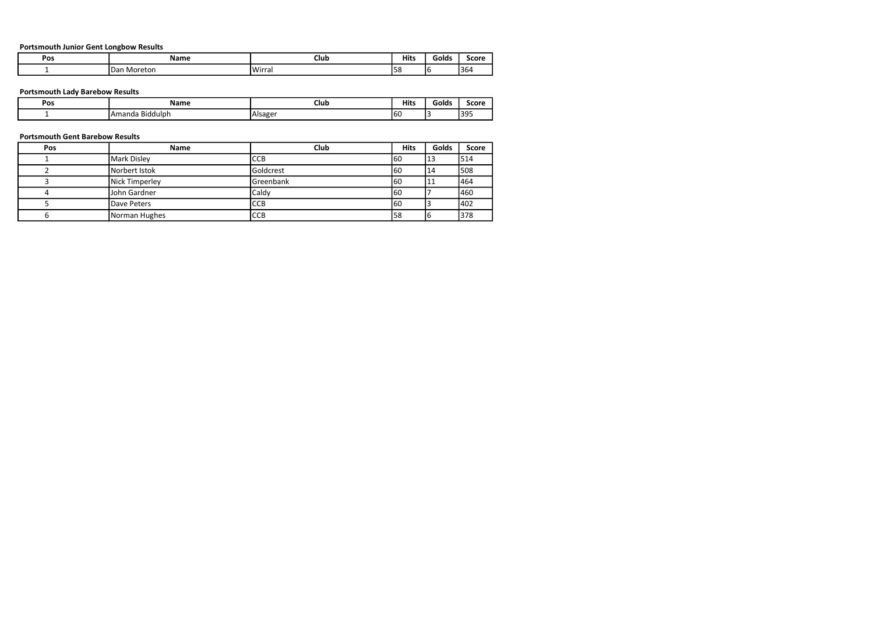Portsmouth Junior Gent Longbow Results

| Pos | .<br>ivarrie       | Clut    | Hits | Golds | Score          |
|-----|--------------------|---------|------|-------|----------------|
|     | l Dar<br>ı Moreton | 'Wirral | 5٥.  |       | $\sim$<br>יטכו |

#### Portsmouth Lady Barebow Results

| Pos | .<br>140 H I I C         | Club           | <b>Hits</b> | Golds | Score     |
|-----|--------------------------|----------------|-------------|-------|-----------|
|     | Biddulph<br>manda<br>IАI | <b>Alsager</b> | 16L         |       | 120r<br>. |

### Portsmouth Gent Barebow Results

| Pos | <b>Name</b>    | Club       | <b>Hits</b> | Golds | <b>Score</b> |
|-----|----------------|------------|-------------|-------|--------------|
|     | Mark Disley    | <b>CCB</b> | 160         | 113   | 514          |
|     | Norbert Istok  | Goldcrest  | 160         | 114   | 508          |
|     | Nick Timperley | Greenbank  | 60          | 11    | 464          |
|     | Uohn Gardner   | Caldv      | 60          |       | 460          |
|     | Dave Peters    | <b>CCB</b> | 60          |       | 402          |
| b   | Norman Hughes  | <b>CCB</b> | 58          |       | 378          |